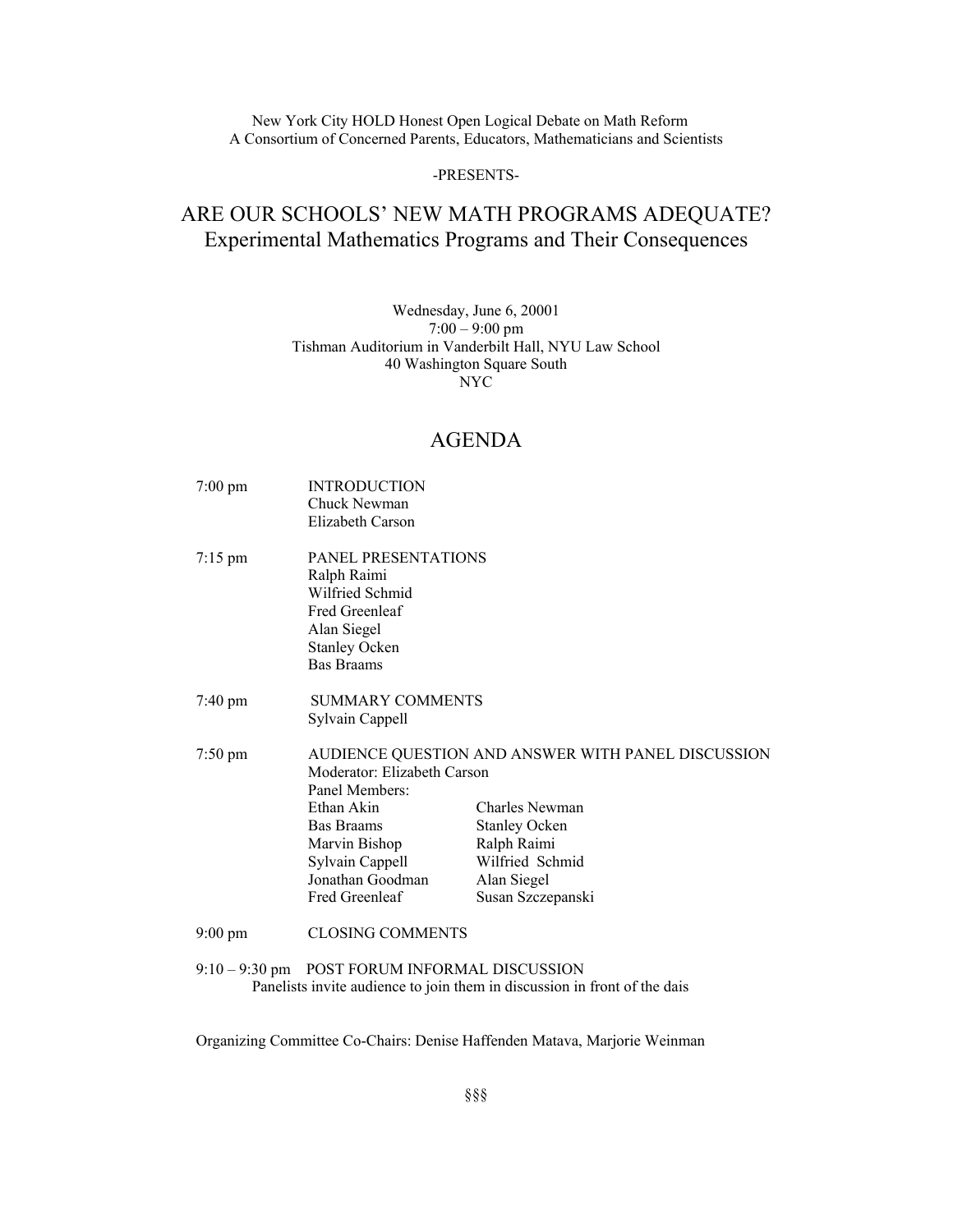New York City HOLD Honest Open Logical Debate on Math Reform A Consortium of Concerned Parents, Educators, Mathematicians and Scientists

#### -PRESENTS-

## ARE OUR SCHOOLS' NEW MATH PROGRAMS ADEQUATE? Experimental Mathematics Programs and Their Consequences

### Wednesday, June 6, 20001  $7:00 - 9:00$  pm Tishman Auditorium in Vanderbilt Hall, NYU Law School 40 Washington Square South NYC

## AGENDA

- 7:00 pm INTRODUCTION Chuck Newman Elizabeth Carson 7:15 pm PANEL PRESENTATIONS Ralph Raimi Wilfried Schmid Fred Greenleaf Alan Siegel Stanley Ocken Bas Braams 7:40 pm SUMMARY COMMENTS Sylvain Cappell 7:50 pm AUDIENCE QUESTION AND ANSWER WITH PANEL DISCUSSION Moderator: Elizabeth Carson Panel Members: Ethan Akin Charles Newman Bas Braams Stanley Ocken Marvin Bishop Ralph Raimi Sylvain Cappell Wilfried Schmid Jonathan Goodman Alan Siegel Fred Greenleaf Susan Szczepanski 9:00 pm CLOSING COMMENTS
- 9:10 9:30 pm POST FORUM INFORMAL DISCUSSION Panelists invite audience to join them in discussion in front of the dais

Organizing Committee Co-Chairs: Denise Haffenden Matava, Marjorie Weinman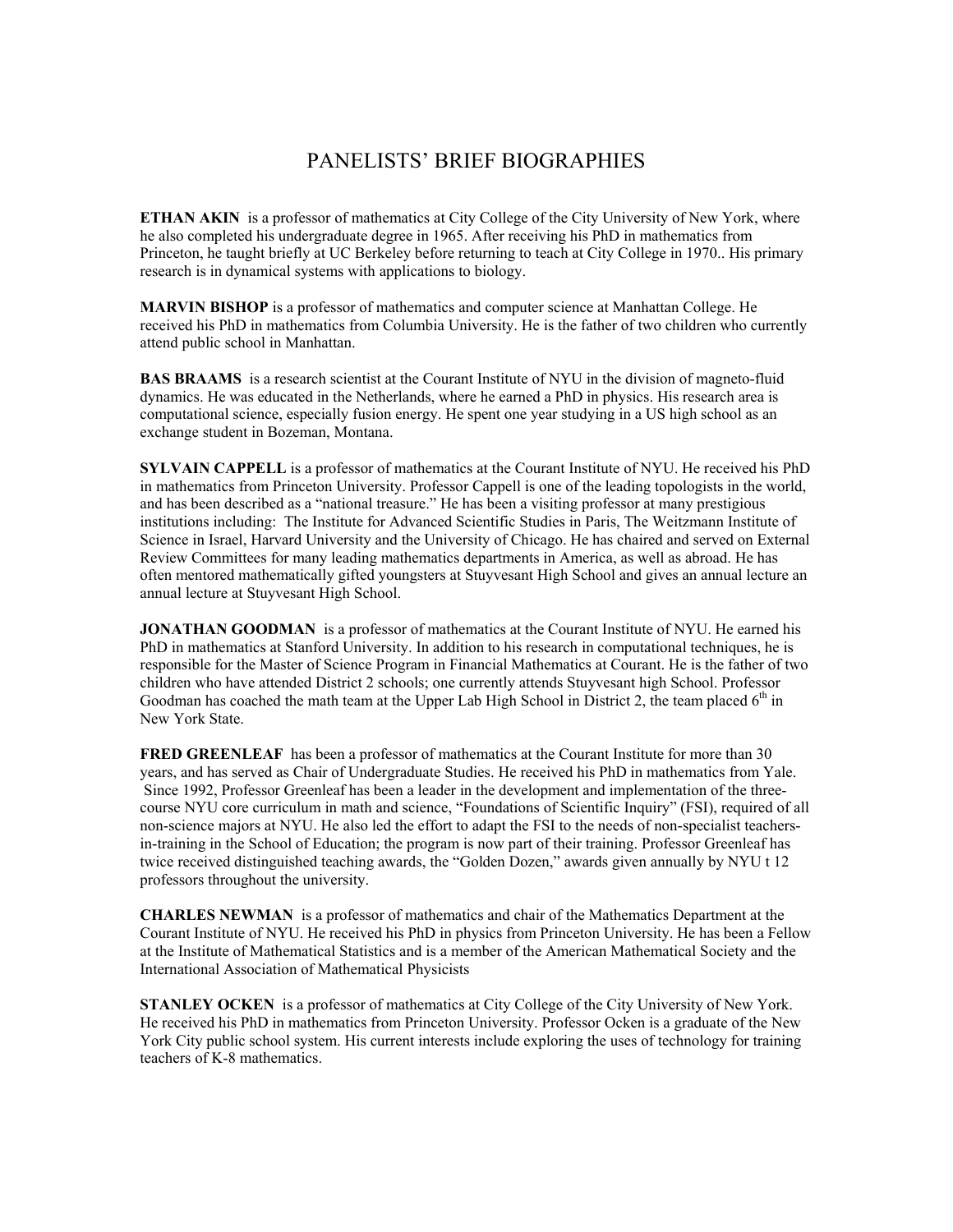# PANELISTS' BRIEF BIOGRAPHIES

**ETHAN AKIN** is a professor of mathematics at City College of the City University of New York, where he also completed his undergraduate degree in 1965. After receiving his PhD in mathematics from Princeton, he taught briefly at UC Berkeley before returning to teach at City College in 1970.. His primary research is in dynamical systems with applications to biology.

**MARVIN BISHOP** is a professor of mathematics and computer science at Manhattan College. He received his PhD in mathematics from Columbia University. He is the father of two children who currently attend public school in Manhattan.

**BAS BRAAMS** is a research scientist at the Courant Institute of NYU in the division of magneto-fluid dynamics. He was educated in the Netherlands, where he earned a PhD in physics. His research area is computational science, especially fusion energy. He spent one year studying in a US high school as an exchange student in Bozeman, Montana.

**SYLVAIN CAPPELL** is a professor of mathematics at the Courant Institute of NYU. He received his PhD in mathematics from Princeton University. Professor Cappell is one of the leading topologists in the world, and has been described as a "national treasure." He has been a visiting professor at many prestigious institutions including: The Institute for Advanced Scientific Studies in Paris, The Weitzmann Institute of Science in Israel, Harvard University and the University of Chicago. He has chaired and served on External Review Committees for many leading mathematics departments in America, as well as abroad. He has often mentored mathematically gifted youngsters at Stuyvesant High School and gives an annual lecture an annual lecture at Stuyvesant High School.

**JONATHAN GOODMAN** is a professor of mathematics at the Courant Institute of NYU. He earned his PhD in mathematics at Stanford University. In addition to his research in computational techniques, he is responsible for the Master of Science Program in Financial Mathematics at Courant. He is the father of two children who have attended District 2 schools; one currently attends Stuyvesant high School. Professor Goodman has coached the math team at the Upper Lab High School in District 2, the team placed  $6<sup>th</sup>$  in New York State.

**FRED GREENLEAF** has been a professor of mathematics at the Courant Institute for more than 30 years, and has served as Chair of Undergraduate Studies. He received his PhD in mathematics from Yale. Since 1992, Professor Greenleaf has been a leader in the development and implementation of the threecourse NYU core curriculum in math and science, "Foundations of Scientific Inquiry" (FSI), required of all non-science majors at NYU. He also led the effort to adapt the FSI to the needs of non-specialist teachersin-training in the School of Education; the program is now part of their training. Professor Greenleaf has twice received distinguished teaching awards, the "Golden Dozen," awards given annually by NYU t 12 professors throughout the university.

**CHARLES NEWMAN** is a professor of mathematics and chair of the Mathematics Department at the Courant Institute of NYU. He received his PhD in physics from Princeton University. He has been a Fellow at the Institute of Mathematical Statistics and is a member of the American Mathematical Society and the International Association of Mathematical Physicists

**STANLEY OCKEN** is a professor of mathematics at City College of the City University of New York. He received his PhD in mathematics from Princeton University. Professor Ocken is a graduate of the New York City public school system. His current interests include exploring the uses of technology for training teachers of K-8 mathematics.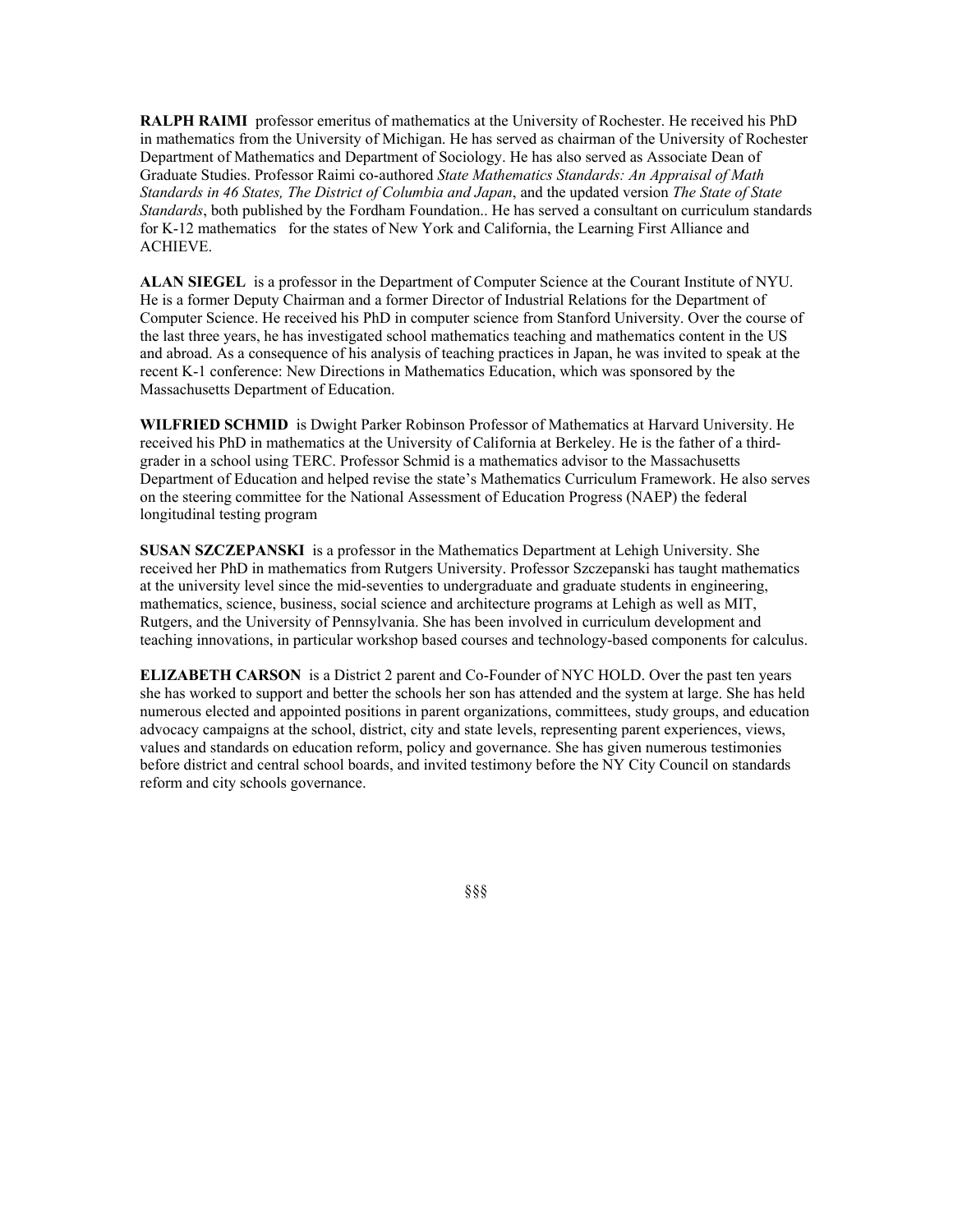**RALPH RAIMI** professor emeritus of mathematics at the University of Rochester. He received his PhD in mathematics from the University of Michigan. He has served as chairman of the University of Rochester Department of Mathematics and Department of Sociology. He has also served as Associate Dean of Graduate Studies. Professor Raimi co-authored *State Mathematics Standards: An Appraisal of Math Standards in 46 States, The District of Columbia and Japan*, and the updated version *The State of State Standards*, both published by the Fordham Foundation.. He has served a consultant on curriculum standards for K-12 mathematics for the states of New York and California, the Learning First Alliance and ACHIEVE.

**ALAN SIEGEL** is a professor in the Department of Computer Science at the Courant Institute of NYU. He is a former Deputy Chairman and a former Director of Industrial Relations for the Department of Computer Science. He received his PhD in computer science from Stanford University. Over the course of the last three years, he has investigated school mathematics teaching and mathematics content in the US and abroad. As a consequence of his analysis of teaching practices in Japan, he was invited to speak at the recent K-1 conference: New Directions in Mathematics Education, which was sponsored by the Massachusetts Department of Education.

**WILFRIED SCHMID** is Dwight Parker Robinson Professor of Mathematics at Harvard University. He received his PhD in mathematics at the University of California at Berkeley. He is the father of a thirdgrader in a school using TERC. Professor Schmid is a mathematics advisor to the Massachusetts Department of Education and helped revise the state's Mathematics Curriculum Framework. He also serves on the steering committee for the National Assessment of Education Progress (NAEP) the federal longitudinal testing program

**SUSAN SZCZEPANSKI** is a professor in the Mathematics Department at Lehigh University. She received her PhD in mathematics from Rutgers University. Professor Szczepanski has taught mathematics at the university level since the mid-seventies to undergraduate and graduate students in engineering, mathematics, science, business, social science and architecture programs at Lehigh as well as MIT, Rutgers, and the University of Pennsylvania. She has been involved in curriculum development and teaching innovations, in particular workshop based courses and technology-based components for calculus.

**ELIZABETH CARSON** is a District 2 parent and Co-Founder of NYC HOLD. Over the past ten years she has worked to support and better the schools her son has attended and the system at large. She has held numerous elected and appointed positions in parent organizations, committees, study groups, and education advocacy campaigns at the school, district, city and state levels, representing parent experiences, views, values and standards on education reform, policy and governance. She has given numerous testimonies before district and central school boards, and invited testimony before the NY City Council on standards reform and city schools governance.

§§§